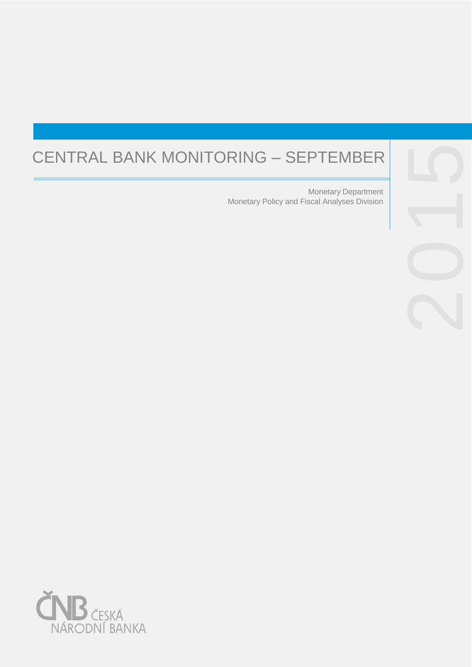# CENTRAL BANK MONITORING – SEPTEMBER

Monetary Policy and Fiscal Analyses Division Monetary Department



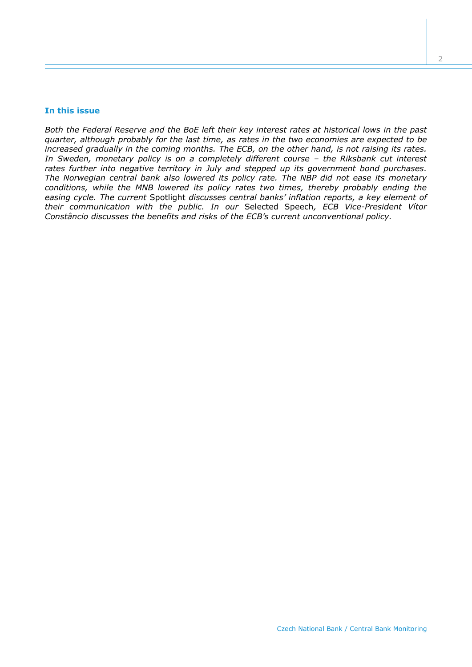## **In this issue**

*Both the Federal Reserve and the BoE left their key interest rates at historical lows in the past quarter, although probably for the last time, as rates in the two economies are expected to be increased gradually in the coming months. The ECB, on the other hand, is not raising its rates. In Sweden, monetary policy is on a completely different course – the Riksbank cut interest rates further into negative territory in July and stepped up its government bond purchases. The Norwegian central bank also lowered its policy rate. The NBP did not ease its monetary conditions, while the MNB lowered its policy rates two times, thereby probably ending the easing cycle. The current* Spotlight *discusses central banks' inflation reports, a key element of their communication with the public. In our* Selected Speech*, ECB Vice-President Vítor Constâncio discusses the benefits and risks of the ECB's current unconventional policy.*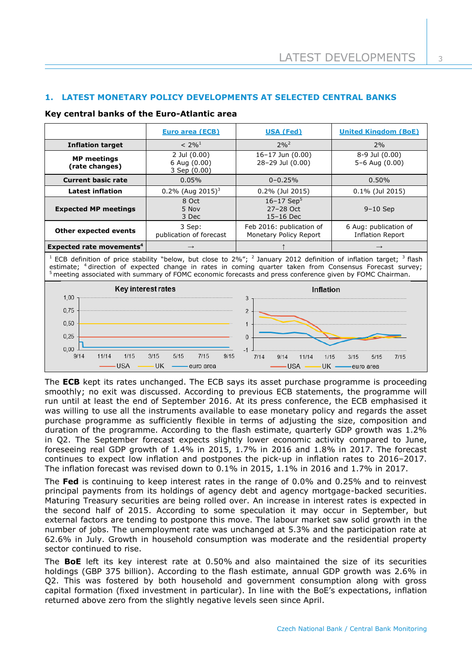# **1. LATEST MONETARY POLICY DEVELOPMENTS AT SELECTED CENTRAL BANKS**

# **Key central banks of the Euro-Atlantic area**

|                                                                                                                                                                                                                                                                                                                                                                                                  | <b>Euro area (ECB)</b>                       | <b>USA (Fed)</b>                                     | <b>United Kingdom (BoE)</b>                      |  |
|--------------------------------------------------------------------------------------------------------------------------------------------------------------------------------------------------------------------------------------------------------------------------------------------------------------------------------------------------------------------------------------------------|----------------------------------------------|------------------------------------------------------|--------------------------------------------------|--|
| <b>Inflation target</b>                                                                                                                                                                                                                                                                                                                                                                          | $< 2\%^{1}$                                  | $2\%^{2}$                                            | 2%                                               |  |
| <b>MP</b> meetings<br>(rate changes)                                                                                                                                                                                                                                                                                                                                                             | 2 Jul (0.00)<br>6 Aug (0.00)<br>3 Sep (0.00) | $16 - 17$ Jun $(0.00)$<br>28-29 Jul (0.00)           | 8-9 Jul (0.00)<br>5-6 Aug (0.00)                 |  |
| <b>Current basic rate</b>                                                                                                                                                                                                                                                                                                                                                                        | 0.05%                                        | $0 - 0.25%$                                          | 0.50%                                            |  |
| <b>Latest inflation</b>                                                                                                                                                                                                                                                                                                                                                                          | $0.2\%$ (Aug 2015) <sup>3</sup>              | $0.2\%$ (Jul 2015)                                   |                                                  |  |
| <b>Expected MP meetings</b>                                                                                                                                                                                                                                                                                                                                                                      | 8 Oct<br>5 Nov<br>3 Dec                      | $16 - 17$ Sep <sup>5</sup><br>27-28 Oct<br>15-16 Dec | $9-10$ Sep                                       |  |
| 3 Sep:<br><b>Other expected events</b><br>publication of forecast                                                                                                                                                                                                                                                                                                                                |                                              | Feb 2016: publication of<br>Monetary Policy Report   | 6 Aug: publication of<br><b>Inflation Report</b> |  |
| Expected rate movements <sup>4</sup><br>$\rightarrow$                                                                                                                                                                                                                                                                                                                                            |                                              |                                                      | $\rightarrow$                                    |  |
| <sup>1</sup> ECB definition of price stability "below, but close to $2\%$ "; <sup>2</sup> January 2012 definition of inflation target; <sup>3</sup> flash<br>estimate; <sup>4</sup> direction of expected change in rates in coming quarter taken from Consensus Forecast survey;<br>$5$ meeting associated with summary of FOMC economic forecasts and press conference given by FOMC Chairman. |                                              |                                                      |                                                  |  |



The **ECB** kept its rates unchanged. The ECB says its asset purchase programme is proceeding smoothly; no exit was discussed. According to previous ECB statements, the programme will run until at least the end of September 2016. At its press conference, the ECB emphasised it was willing to use all the instruments available to ease monetary policy and regards the asset purchase programme as sufficiently flexible in terms of adjusting the size, composition and duration of the programme. According to the flash estimate, quarterly GDP growth was 1.2% in Q2. The September forecast expects slightly lower economic activity compared to June, foreseeing real GDP growth of 1.4% in 2015, 1.7% in 2016 and 1.8% in 2017. The forecast continues to expect low inflation and postpones the pick-up in inflation rates to 2016–2017. The inflation forecast was revised down to 0.1% in 2015, 1.1% in 2016 and 1.7% in 2017.

The **Fed** is continuing to keep interest rates in the range of 0.0% and 0.25% and to reinvest principal payments from its holdings of agency debt and agency mortgage-backed securities. Maturing Treasury securities are being rolled over. An increase in interest rates is expected in the second half of 2015. According to some speculation it may occur in September, but external factors are tending to postpone this move. The labour market saw solid growth in the number of jobs. The unemployment rate was unchanged at 5.3% and the participation rate at 62.6% in July. Growth in household consumption was moderate and the residential property sector continued to rise.

The **BoE** left its key interest rate at 0.50% and also maintained the size of its securities holdings (GBP 375 billion). According to the flash estimate, annual GDP growth was 2.6% in Q2. This was fostered by both household and government consumption along with gross capital formation (fixed investment in particular). In line with the BoE's expectations, inflation returned above zero from the slightly negative levels seen since April.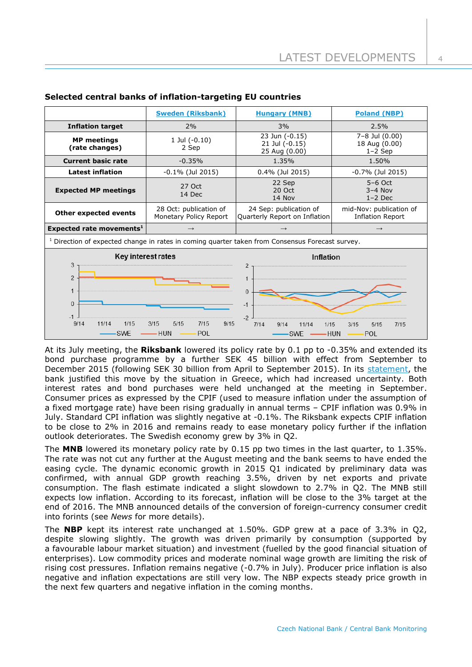|                                                                                                            | <b>Sweden (Riksbank)</b>                         | <b>Hungary (MNB)</b>                                    | <b>Poland (NBP)</b>                                |  |  |  |
|------------------------------------------------------------------------------------------------------------|--------------------------------------------------|---------------------------------------------------------|----------------------------------------------------|--|--|--|
| <b>Inflation target</b>                                                                                    | 2%                                               | 3%                                                      | 2.5%                                               |  |  |  |
| <b>MP</b> meetings<br>(rate changes)                                                                       | 1 Jul $(-0.10)$<br>2 Sep                         | 23 Jun $(-0.15)$<br>21 Jul (-0.15)<br>25 Aug (0.00)     | 7-8 Jul (0.00)<br>18 Aug (0.00)<br>$1-2$ Sep       |  |  |  |
| <b>Current basic rate</b>                                                                                  | $-0.35%$                                         | 1.35%                                                   |                                                    |  |  |  |
| <b>Latest inflation</b>                                                                                    | $-0.1\%$ (Jul 2015)                              | 0.4% (Jul 2015)                                         | $-0.7\%$ (Jul 2015)                                |  |  |  |
| <b>Expected MP meetings</b>                                                                                | 27 Oct<br>14 Dec                                 | 22 Sep<br>20 Oct<br>14 Nov                              | $5-6$ Oct<br>$3-4$ Nov<br>$1-2$ Dec                |  |  |  |
| <b>Other expected events</b>                                                                               | 28 Oct: publication of<br>Monetary Policy Report | 24 Sep: publication of<br>Quarterly Report on Inflation | mid-Nov: publication of<br><b>Inflation Report</b> |  |  |  |
| Expected rate movements <sup>1</sup>                                                                       | $\rightarrow$                                    | $\rightarrow$                                           | $\rightarrow$                                      |  |  |  |
| <sup>1</sup> Direction of expected change in rates in coming quarter taken from Consensus Forecast survey. |                                                  |                                                         |                                                    |  |  |  |
|                                                                                                            |                                                  |                                                         |                                                    |  |  |  |
| Key interest rates                                                                                         |                                                  | <b>Inflation</b>                                        |                                                    |  |  |  |
| 3<br>$\mathfrak{p}$<br>$\mathbf 1$<br>$\Omega$<br>$-1$<br>9/14<br>11/14<br>1/15                            | 9/15<br>3/15<br>5/15<br>7/15                     | $-2$                                                    |                                                    |  |  |  |

# **Selected central banks of inflation-targeting EU countries**

At its July meeting, the **Riksbank** lowered its policy rate by 0.1 pp to -0.35% and extended its bond purchase programme by a further SEK 45 billion with effect from September to December 2015 (following SEK 30 billion from April to September 2015). In its [statement,](http://www.riksbank.se/en/Press-and-published/Press-Releases/2015/Repo-rate-cut-to-035-per-cent-and-purchases-of-government-bonds-extended-by-SEK-45-billion-/) the bank justified this move by the situation in Greece, which had increased uncertainty. Both interest rates and bond purchases were held unchanged at the meeting in September. Consumer prices as expressed by the CPIF (used to measure inflation under the assumption of a fixed mortgage rate) have been rising gradually in annual terms – CPIF inflation was 0.9% in July. Standard CPI inflation was slightly negative at -0.1%. The Riksbank expects CPIF inflation to be close to 2% in 2016 and remains ready to ease monetary policy further if the inflation outlook deteriorates. The Swedish economy grew by 3% in Q2.

The **MNB** lowered its monetary policy rate by 0.15 pp two times in the last quarter, to 1.35%. The rate was not cut any further at the August meeting and the bank seems to have ended the easing cycle. The dynamic economic growth in 2015 Q1 indicated by preliminary data was confirmed, with annual GDP growth reaching 3.5%, driven by net exports and private consumption. The flash estimate indicated a slight slowdown to 2.7% in Q2. The MNB still expects low inflation. According to its forecast, inflation will be close to the 3% target at the end of 2016. The MNB announced details of the conversion of foreign-currency consumer credit into forints (see *News* for more details).

The **NBP** kept its interest rate unchanged at 1.50%. GDP grew at a pace of 3.3% in Q2, despite slowing slightly. The growth was driven primarily by consumption (supported by a favourable labour market situation) and investment (fuelled by the good financial situation of enterprises). Low commodity prices and moderate nominal wage growth are limiting the risk of rising cost pressures. Inflation remains negative (-0.7% in July). Producer price inflation is also negative and inflation expectations are still very low. The NBP expects steady price growth in the next few quarters and negative inflation in the coming months.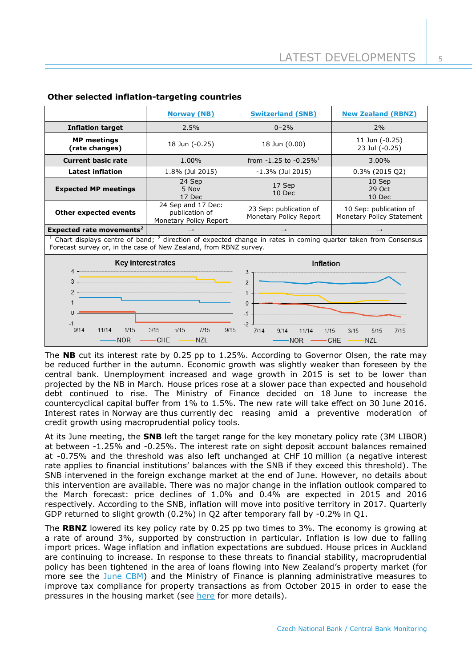|                                                                                                                                                                                                                                                                                                                              | <b>Norway (NB)</b>                                             | <b>Switzerland (SNB)</b>                         | <b>New Zealand (RBNZ)</b>                           |  |  |  |
|------------------------------------------------------------------------------------------------------------------------------------------------------------------------------------------------------------------------------------------------------------------------------------------------------------------------------|----------------------------------------------------------------|--------------------------------------------------|-----------------------------------------------------|--|--|--|
| <b>Inflation target</b>                                                                                                                                                                                                                                                                                                      | 2.5%                                                           | $0 - 2\%$                                        | 2%                                                  |  |  |  |
| <b>MP</b> meetings<br>(rate changes)                                                                                                                                                                                                                                                                                         | 18 Jun (-0.25)                                                 | 18 Jun (0.00)                                    | 11 Jun (-0.25)<br>23 Jul (-0.25)                    |  |  |  |
| <b>Current basic rate</b>                                                                                                                                                                                                                                                                                                    | 1.00%                                                          | from $-1.25$ to $-0.25\%$ <sup>1</sup>           | 3.00%                                               |  |  |  |
| <b>Latest inflation</b>                                                                                                                                                                                                                                                                                                      | 1.8% (Jul 2015)                                                | $-1.3\%$ (Jul 2015)                              | 0.3% (2015 Q2)                                      |  |  |  |
| <b>Expected MP meetings</b>                                                                                                                                                                                                                                                                                                  | 24 Sep<br>5 Nov<br>17 Dec                                      | 17 Sep<br>10 Dec                                 | 10 Sep<br>29 Oct<br>10 Dec                          |  |  |  |
| Other expected events                                                                                                                                                                                                                                                                                                        | 24 Sep and 17 Dec:<br>publication of<br>Monetary Policy Report | 23 Sep: publication of<br>Monetary Policy Report | 10 Sep: publication of<br>Monetary Policy Statement |  |  |  |
| Expected rate movements <sup>2</sup>                                                                                                                                                                                                                                                                                         | $\rightarrow$<br>$\rightarrow$<br>$\rightarrow$                |                                                  |                                                     |  |  |  |
| $1$ Chart displays centre of band; $2$ direction of expected change in rates in coming quarter taken from Consensus<br>Forecast survey or, in the case of New Zealand, from RBNZ survey.                                                                                                                                     |                                                                |                                                  |                                                     |  |  |  |
| Key interest rates                                                                                                                                                                                                                                                                                                           |                                                                | Inflation                                        |                                                     |  |  |  |
| 4<br>3<br>3<br>$\mathfrak{p}$<br>$\overline{2}$<br>$\mathbf{1}$<br>$\mathbf{1}$<br>$\Omega$<br>$\Omega$<br>$-1$<br>$-1$<br>$-2$<br>3/15<br>5/15<br>7/15<br>9/14<br>11/14<br>1/15<br>9/15<br>7/14<br>9/14<br>1/15<br>11/14<br>3/15<br>5/15<br>7/15<br><b>NOR</b><br><b>CHE</b><br><b>NZL</b><br>$-$ CHE<br><b>NOR</b><br>∙NZL |                                                                |                                                  |                                                     |  |  |  |

# **Other selected inflation-targeting countries**

The **NB** cut its interest rate by 0.25 pp to 1.25%. According to Governor Olsen, the rate may be reduced further in the autumn. Economic growth was slightly weaker than foreseen by the central bank. Unemployment increased and wage growth in 2015 is set to be lower than projected by the NB in March. House prices rose at a slower pace than expected and household debt continued to rise. The Ministry of Finance decided on 18 June to increase the countercyclical capital buffer from 1% to 1.5%. The new rate will take effect on 30 June 2016. Interest rates in Norway are thus currently dec reasing amid a preventive moderation of credit growth using macroprudential policy tools.

At its June meeting, the **SNB** left the target range for the key monetary policy rate (3M LIBOR) at between -1.25% and -0.25%. The interest rate on sight deposit account balances remained at -0.75% and the threshold was also left unchanged at CHF 10 million (a negative interest rate applies to financial institutions' balances with the SNB if they exceed this threshold). The SNB intervened in the foreign exchange market at the end of June. However, no details about this intervention are available. There was no major change in the inflation outlook compared to the March forecast: price declines of 1.0% and 0.4% are expected in 2015 and 2016 respectively. According to the SNB, inflation will move into positive territory in 2017. Quarterly GDP returned to slight growth (0.2%) in Q2 after temporary fall by -0.2% in Q1.

The **RBNZ** lowered its key policy rate by 0.25 pp two times to 3%. The economy is growing at a rate of around 3%, supported by construction in particular. Inflation is low due to falling import prices. Wage inflation and inflation expectations are subdued. House prices in Auckland are continuing to increase. In response to these threats to financial stability, macroprudential policy has been tightened in the area of loans flowing into New Zealand's property market (for more see the [June CBM\)](http://www.cnb.cz/miranda2/export/sites/www.cnb.cz/en/monetary_policy/monitoring/download/1502_cbm.pdf) and the Ministry of Finance is planning administrative measures to improve tax compliance for property transactions as from October 2015 in order to ease the pressures in the housing market (see [here](http://taxpolicy.ird.govt.nz/news/2015-05-17-budget-2015-property-compliance-proposals-announced) for more details).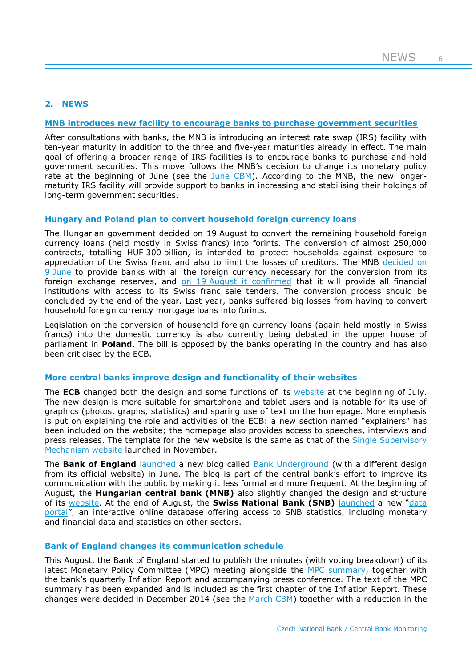# **2. NEWS**

## **[MNB introduces new facility to encourage banks to purchase government securities](http://www.mnb.hu/en/pressroom/press-releases/press-releases-2015/mnb-introduces-a-new-ten-year-interest-rate-swap-facility-to-encourage-banks-purchases-of-government-securities)**

After consultations with banks, the MNB is introducing an interest rate swap (IRS) facility with ten-year maturity in addition to the three and five-year maturities already in effect. The main goal of offering a broader range of IRS facilities is to encourage banks to purchase and hold government securities. This move follows the MNB's decision to change its monetary policy rate at the beginning of June (see the [June CBM\)](http://www.cnb.cz/miranda2/export/sites/www.cnb.cz/en/monetary_policy/monitoring/download/1502_cbm.pdf). According to the MNB, the new longermaturity IRS facility will provide support to banks in increasing and stabilising their holdings of long-term government securities.

## **Hungary and Poland plan to convert household foreign currency loans**

The Hungarian government decided on 19 August to convert the remaining household foreign currency loans (held mostly in Swiss francs) into forints. The conversion of almost 250,000 contracts, totalling HUF 300 billion, is intended to protect households against exposure to appreciation of the Swiss franc and also to limit the losses of creditors. The MNB [decided on](http://www.mnb.hu/en/pressroom/press-releases/press-releases-2015/mnb-stands-ready-to-convert-remaining-household-foreign-currency-loans-into-forints)  9 [June](http://www.mnb.hu/en/pressroom/press-releases/press-releases-2015/mnb-stands-ready-to-convert-remaining-household-foreign-currency-loans-into-forints) to provide banks with all the foreign currency necessary for the conversion from its foreign exchange reserves, and on 19 [August it confirmed](http://www.mnb.hu/en/pressroom/press-releases/press-releases-2015/mnb-helps-to-phase-out-remaining-household-foreign-currency-loans) that it will provide all financial institutions with access to its Swiss franc sale tenders. The conversion process should be concluded by the end of the year. Last year, banks suffered big losses from having to convert household foreign currency mortgage loans into forints.

Legislation on the conversion of household foreign currency loans (again held mostly in Swiss francs) into the domestic currency is also currently being debated in the upper house of parliament in **Poland**. The bill is opposed by the banks operating in the country and has also been criticised by the ECB.

## **More central banks improve design and functionality of their websites**

The **ECB** changed both the design and some functions of its [website](https://www.ecb.europa.eu/home/html/index.en.html) at the beginning of July. The new design is more suitable for smartphone and tablet users and is notable for its use of graphics (photos, graphs, statistics) and sparing use of text on the homepage. More emphasis is put on explaining the role and activities of the ECB: a new section named "explainers" has been included on the website; the homepage also provides access to speeches, interviews and press releases. The template for the new website is the same as that of the [Single Supervisory](https://www.bankingsupervision.europa.eu/home/html/index.en.html)  [Mechanism website](https://www.bankingsupervision.europa.eu/home/html/index.en.html) launched in November.

The **Bank of England** [launched](http://www.bankofengland.co.uk/research/Pages/staff/default.aspx) a new blog called [Bank Underground](http://bankunderground.co.uk/) (with a different design from its official website) in June. The blog is part of the central bank's effort to improve its communication with the public by making it less formal and more frequent. At the beginning of August, the **Hungarian central bank (MNB)** also slightly changed the design and structure of its [website.](http://www.mnb.hu/en/pressroom/press-releases/press-releases-2015/the-website-of-the-mnb-is-renewed) At the end of August, the **Swiss National Bank (SNB)** [launched](http://www.snb.ch/en/mmr/reference/pre_20150827_1/source/pre_20150827_1.en.pdf) a new "[data](https://data.snb.ch/en)  [portal](https://data.snb.ch/en)", an interactive online database offering access to SNB statistics, including monetary and financial data and statistics on other sectors.

## **Bank of England changes its communication schedule**

This August, the Bank of England started to publish the minutes (with voting breakdown) of its latest Monetary Policy Committee (MPC) meeting alongside the [MPC summary,](http://www.bankofengland.co.uk/publications/Pages/news/2015/008.aspx) together with the bank's quarterly Inflation Report and accompanying press conference. The text of the MPC summary has been expanded and is included as the first chapter of the Inflation Report. These changes were decided in December 2014 (see the [March CBM\)](http://www.cnb.cz/miranda2/export/sites/www.cnb.cz/en/monetary_policy/monitoring/download/1501_cbm.pdf) together with a reduction in the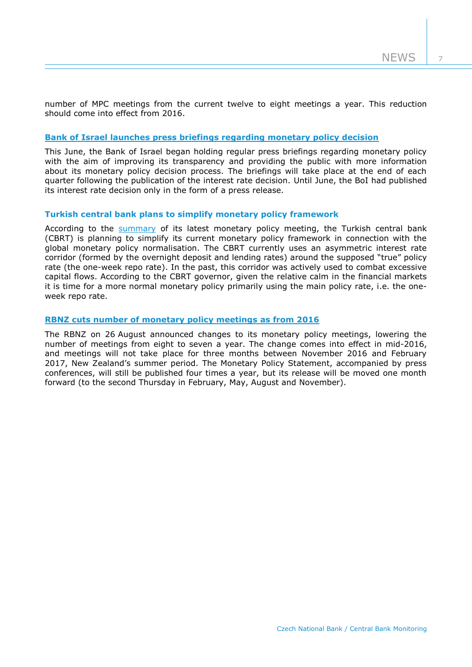number of MPC meetings from the current twelve to eight meetings a year. This reduction should come into effect from 2016.

## **Bank of Israel launches [press briefings regarding monetary policy decision](http://www.boi.org.il/en/NewsAndPublications/PressReleases/Pages/140615-quarterlypressbriefings.aspx)**

This June, the Bank of Israel began holding regular press briefings regarding monetary policy with the aim of improving its transparency and providing the public with more information about its monetary policy decision process. The briefings will take place at the end of each quarter following the publication of the interest rate decision. Until June, the BoI had published its interest rate decision only in the form of a press release.

# **Turkish central bank plans to simplify monetary policy framework**

According to the [summary](http://www.tcmb.gov.tr/wps/wcm/connect/tcmb+en/tcmb+en/main+menu/announcements/press+releases/2015/ano2015-50) of its latest monetary policy meeting, the Turkish central bank (CBRT) is planning to simplify its current monetary policy framework in connection with the global monetary policy normalisation. The CBRT currently uses an asymmetric interest rate corridor (formed by the overnight deposit and lending rates) around the supposed "true" policy rate (the one-week repo rate). In the past, this corridor was actively used to combat excessive capital flows. According to the CBRT governor, given the relative calm in the financial markets it is time for a more normal monetary policy primarily using the main policy rate, i.e. the oneweek repo rate.

#### **[RBNZ cuts number of monetary policy meetings as from 2016](http://www.rbnz.govt.nz/news/2015/mps-dates-2016-17.html)**

The RBNZ on 26 August announced changes to its monetary policy meetings, lowering the number of meetings from eight to seven a year. The change comes into effect in mid-2016, and meetings will not take place for three months between November 2016 and February 2017, New Zealand's summer period. The Monetary Policy Statement, accompanied by press conferences, will still be published four times a year, but its release will be moved one month forward (to the second Thursday in February, May, August and November).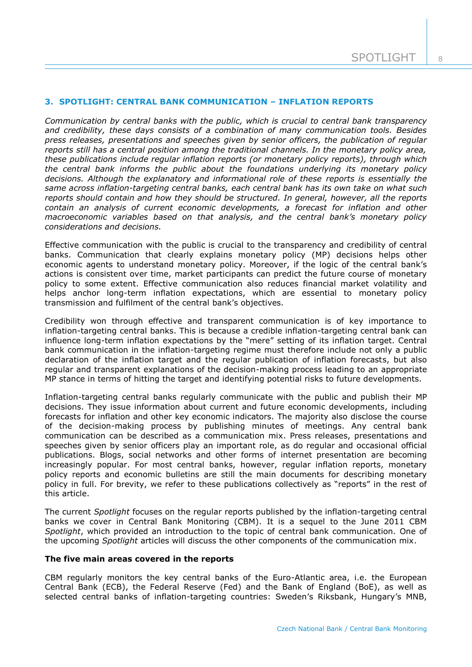# **3. SPOTLIGHT: CENTRAL BANK COMMUNICATION – INFLATION REPORTS**

*Communication by central banks with the public, which is crucial to central bank transparency and credibility, these days consists of a combination of many communication tools. Besides press releases, presentations and speeches given by senior officers, the publication of regular reports still has a central position among the traditional channels. In the monetary policy area, these publications include regular inflation reports (or monetary policy reports), through which the central bank informs the public about the foundations underlying its monetary policy decisions. Although the explanatory and informational role of these reports is essentially the same across inflation-targeting central banks, each central bank has its own take on what such reports should contain and how they should be structured. In general, however, all the reports contain an analysis of current economic developments, a forecast for inflation and other macroeconomic variables based on that analysis, and the central bank's monetary policy considerations and decisions.*

Effective communication with the public is crucial to the transparency and credibility of central banks. Communication that clearly explains monetary policy (MP) decisions helps other economic agents to understand monetary policy. Moreover, if the logic of the central bank's actions is consistent over time, market participants can predict the future course of monetary policy to some extent. Effective communication also reduces financial market volatility and helps anchor long-term inflation expectations, which are essential to monetary policy transmission and fulfilment of the central bank's objectives.

Credibility won through effective and transparent communication is of key importance to inflation-targeting central banks. This is because a credible inflation-targeting central bank can influence long-term inflation expectations by the "mere" setting of its inflation target. Central bank communication in the inflation-targeting regime must therefore include not only a public declaration of the inflation target and the regular publication of inflation forecasts, but also regular and transparent explanations of the decision-making process leading to an appropriate MP stance in terms of hitting the target and identifying potential risks to future developments.

Inflation-targeting central banks regularly communicate with the public and publish their MP decisions. They issue information about current and future economic developments, including forecasts for inflation and other key economic indicators. The majority also disclose the course of the decision-making process by publishing minutes of meetings. Any central bank communication can be described as a communication mix. Press releases, presentations and speeches given by senior officers play an important role, as do regular and occasional official publications. Blogs, social networks and other forms of internet presentation are becoming increasingly popular. For most central banks, however, regular inflation reports, monetary policy reports and economic bulletins are still the main documents for describing monetary policy in full. For brevity, we refer to these publications collectively as "reports" in the rest of this article.

The current *Spotlight* focuses on the regular reports published by the inflation-targeting central banks we cover in Central Bank Monitoring (CBM). It is a sequel to the June 2011 CBM *Spotlight*, which provided an introduction to the topic of central bank communication. One of the upcoming *Spotlight* articles will discuss the other components of the communication mix.

# **The five main areas covered in the reports**

CBM regularly monitors the key central banks of the Euro-Atlantic area, i.e. the European Central Bank (ECB), the Federal Reserve (Fed) and the Bank of England (BoE), as well as selected central banks of inflation-targeting countries: Sweden's Riksbank, Hungary's MNB,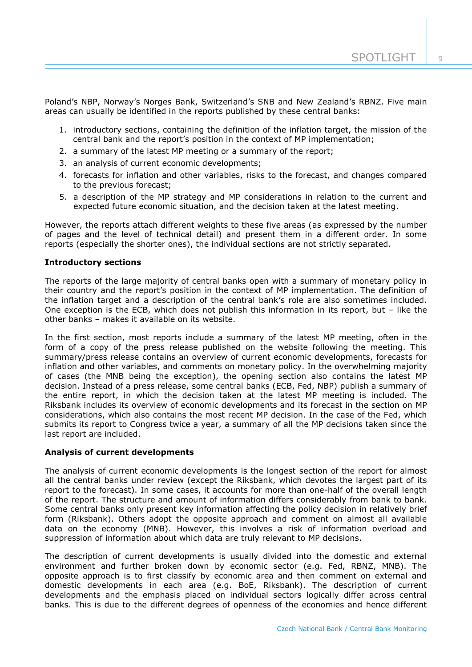$\overline{Q}$ 

Poland's NBP, Norway's Norges Bank, Switzerland's SNB and New Zealand's RBNZ. Five main areas can usually be identified in the reports published by these central banks:

- 1. introductory sections, containing the definition of the inflation target, the mission of the central bank and the report's position in the context of MP implementation;
- 2. a summary of the latest MP meeting or a summary of the report;
- 3. an analysis of current economic developments;
- 4. forecasts for inflation and other variables, risks to the forecast, and changes compared to the previous forecast;
- 5. a description of the MP strategy and MP considerations in relation to the current and expected future economic situation, and the decision taken at the latest meeting.

However, the reports attach different weights to these five areas (as expressed by the number of pages and the level of technical detail) and present them in a different order. In some reports (especially the shorter ones), the individual sections are not strictly separated.

## **Introductory sections**

The reports of the large majority of central banks open with a summary of monetary policy in their country and the report's position in the context of MP implementation. The definition of the inflation target and a description of the central bank's role are also sometimes included. One exception is the ECB, which does not publish this information in its report, but – like the other banks – makes it available on its website.

In the first section, most reports include a summary of the latest MP meeting, often in the form of a copy of the press release published on the website following the meeting. This summary/press release contains an overview of current economic developments, forecasts for inflation and other variables, and comments on monetary policy. In the overwhelming majority of cases (the MNB being the exception), the opening section also contains the latest MP decision. Instead of a press release, some central banks (ECB, Fed, NBP) publish a summary of the entire report, in which the decision taken at the latest MP meeting is included. The Riksbank includes its overview of economic developments and its forecast in the section on MP considerations, which also contains the most recent MP decision. In the case of the Fed, which submits its report to Congress twice a year, a summary of all the MP decisions taken since the last report are included.

## **Analysis of current developments**

The analysis of current economic developments is the longest section of the report for almost all the central banks under review (except the Riksbank, which devotes the largest part of its report to the forecast). In some cases, it accounts for more than one-half of the overall length of the report. The structure and amount of information differs considerably from bank to bank. Some central banks only present key information affecting the policy decision in relatively brief form (Riksbank). Others adopt the opposite approach and comment on almost all available data on the economy (MNB). However, this involves a risk of information overload and suppression of information about which data are truly relevant to MP decisions.

The description of current developments is usually divided into the domestic and external environment and further broken down by economic sector (e.g. Fed, RBNZ, MNB). The opposite approach is to first classify by economic area and then comment on external and domestic developments in each area (e.g. BoE, Riksbank). The description of current developments and the emphasis placed on individual sectors logically differ across central banks. This is due to the different degrees of openness of the economies and hence different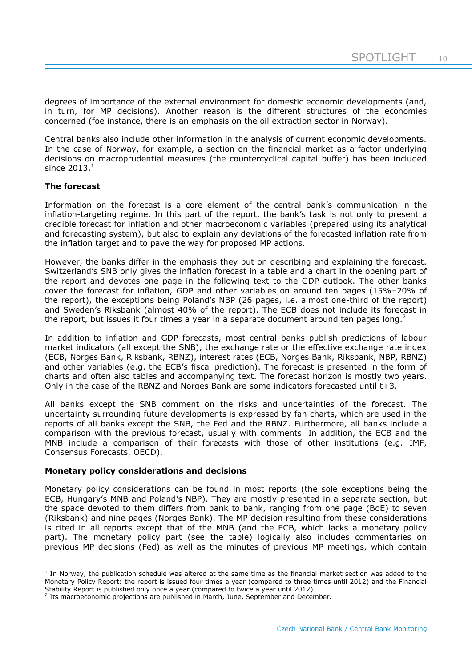degrees of importance of the external environment for domestic economic developments (and, in turn, for MP decisions). Another reason is the different structures of the economies concerned (foe instance, there is an emphasis on the oil extraction sector in Norway).

Central banks also include other information in the analysis of current economic developments. In the case of Norway, for example, a section on the financial market as a factor underlying decisions on macroprudential measures (the countercyclical capital buffer) has been included since  $2013.<sup>1</sup>$ 

# **The forecast**

Information on the forecast is a core element of the central bank's communication in the inflation-targeting regime. In this part of the report, the bank's task is not only to present a credible forecast for inflation and other macroeconomic variables (prepared using its analytical and forecasting system), but also to explain any deviations of the forecasted inflation rate from the inflation target and to pave the way for proposed MP actions.

However, the banks differ in the emphasis they put on describing and explaining the forecast. Switzerland's SNB only gives the inflation forecast in a table and a chart in the opening part of the report and devotes one page in the following text to the GDP outlook. The other banks cover the forecast for inflation, GDP and other variables on around ten pages (15%–20% of the report), the exceptions being Poland's NBP (26 pages, i.e. almost one-third of the report) and Sweden's Riksbank (almost 40% of the report). The ECB does not include its forecast in the report, but issues it four times a year in a separate document around ten pages long.<sup>2</sup>

In addition to inflation and GDP forecasts, most central banks publish predictions of labour market indicators (all except the SNB), the exchange rate or the effective exchange rate index (ECB, Norges Bank, Riksbank, RBNZ), interest rates (ECB, Norges Bank, Riksbank, NBP, RBNZ) and other variables (e.g. the ECB's fiscal prediction). The forecast is presented in the form of charts and often also tables and accompanying text. The forecast horizon is mostly two years. Only in the case of the RBNZ and Norges Bank are some indicators forecasted until t+3.

All banks except the SNB comment on the risks and uncertainties of the forecast. The uncertainty surrounding future developments is expressed by fan charts, which are used in the reports of all banks except the SNB, the Fed and the RBNZ. Furthermore, all banks include a comparison with the previous forecast, usually with comments. In addition, the ECB and the MNB include a comparison of their forecasts with those of other institutions (e.g. IMF, Consensus Forecasts, OECD).

# **Monetary policy considerations and decisions**

Monetary policy considerations can be found in most reports (the sole exceptions being the ECB, Hungary's MNB and Poland's NBP). They are mostly presented in a separate section, but the space devoted to them differs from bank to bank, ranging from one page (BoE) to seven (Riksbank) and nine pages (Norges Bank). The MP decision resulting from these considerations is cited in all reports except that of the MNB (and the ECB, which lacks a monetary policy part). The monetary policy part (see the table) logically also includes commentaries on previous MP decisions (Fed) as well as the minutes of previous MP meetings, which contain -

<sup>&</sup>lt;sup>1</sup> In Norway, the publication schedule was altered at the same time as the financial market section was added to the Monetary Policy Report: the report is issued four times a year (compared to three times until 2012) and the Financial Stability Report is published only once a year (compared to twice a year until 2012).

<sup>&</sup>lt;sup>2</sup> Its macroeconomic projections are published in March, June, September and December.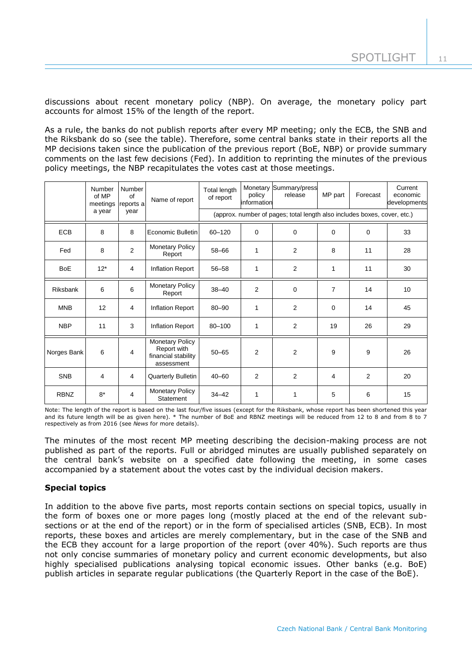discussions about recent monetary policy (NBP). On average, the monetary policy part accounts for almost 15% of the length of the report.

As a rule, the banks do not publish reports after every MP meeting; only the ECB, the SNB and the Riksbank do so (see the table). Therefore, some central banks state in their reports all the MP decisions taken since the publication of the previous report (BoE, NBP) or provide summary comments on the last few decisions (Fed). In addition to reprinting the minutes of the previous policy meetings, the NBP recapitulates the votes cast at those meetings.

|             | Number<br>of MP<br>meetings | <b>Number</b><br>of<br>reports a | Name of report                                                             | Total length<br>of report                                                | policy<br>information | Monetary Summary/press<br>release | MP part        | Forecast       | Current<br>economic<br>developments |
|-------------|-----------------------------|----------------------------------|----------------------------------------------------------------------------|--------------------------------------------------------------------------|-----------------------|-----------------------------------|----------------|----------------|-------------------------------------|
|             | a year<br>year              |                                  |                                                                            | (approx. number of pages; total length also includes boxes, cover, etc.) |                       |                                   |                |                |                                     |
| <b>ECB</b>  | 8                           | 8                                | Economic Bulletin                                                          | 60-120                                                                   | $\mathbf 0$           | $\Omega$                          | $\mathbf 0$    | 0              | 33                                  |
| Fed         | 8                           | $\overline{2}$                   | <b>Monetary Policy</b><br>Report                                           | 58-66                                                                    | 1                     | $\overline{2}$                    | 8              | 11             | 28                                  |
| <b>BoE</b>  | $12*$                       | $\overline{4}$                   | Inflation Report                                                           | $56 - 58$                                                                | $\mathbf{1}$          | 2                                 | 1              | 11             | 30                                  |
| Riksbank    | 6                           | 6                                | <b>Monetary Policy</b><br>Report                                           | $38 - 40$                                                                | $\overline{2}$        | $\mathbf 0$                       | $\overline{7}$ | 14             | 10                                  |
| <b>MNB</b>  | 12                          | 4                                | <b>Inflation Report</b>                                                    | $80 - 90$                                                                | 1                     | 2                                 | $\mathbf 0$    | 14             | 45                                  |
| <b>NBP</b>  | 11                          | 3                                | Inflation Report                                                           | 80-100                                                                   | 1                     | 2                                 | 19             | 26             | 29                                  |
| Norges Bank | 6                           | 4                                | <b>Monetary Policy</b><br>Report with<br>financial stability<br>assessment | $50 - 65$                                                                | $\overline{2}$        | $\overline{2}$                    | 9              | 9              | 26                                  |
| <b>SNB</b>  | 4                           | 4                                | <b>Quarterly Bulletin</b>                                                  | $40 - 60$                                                                | $\overline{2}$        | 2                                 | 4              | $\overline{2}$ | 20                                  |
| <b>RBNZ</b> | $8*$                        | $\overline{4}$                   | <b>Monetary Policy</b><br><b>Statement</b>                                 | $34 - 42$                                                                | $\mathbf{1}$          | 1                                 | 5              | 6              | 15                                  |

Note: The length of the report is based on the last four/five issues (except for the Riksbank, whose report has been shortened this year and its future length will be as given here). \* The number of BoE and RBNZ meetings will be reduced from 12 to 8 and from 8 to 7 respectively as from 2016 (see *News* for more details).

The minutes of the most recent MP meeting describing the decision-making process are not published as part of the reports. Full or abridged minutes are usually published separately on the central bank's website on a specified date following the meeting, in some cases accompanied by a statement about the votes cast by the individual decision makers.

# **Special topics**

In addition to the above five parts, most reports contain sections on special topics, usually in the form of boxes one or more pages long (mostly placed at the end of the relevant subsections or at the end of the report) or in the form of specialised articles (SNB, ECB). In most reports, these boxes and articles are merely complementary, but in the case of the SNB and the ECB they account for a large proportion of the report (over 40%). Such reports are thus not only concise summaries of monetary policy and current economic developments, but also highly specialised publications analysing topical economic issues. Other banks (e.g. BoE) publish articles in separate regular publications (the Quarterly Report in the case of the BoE).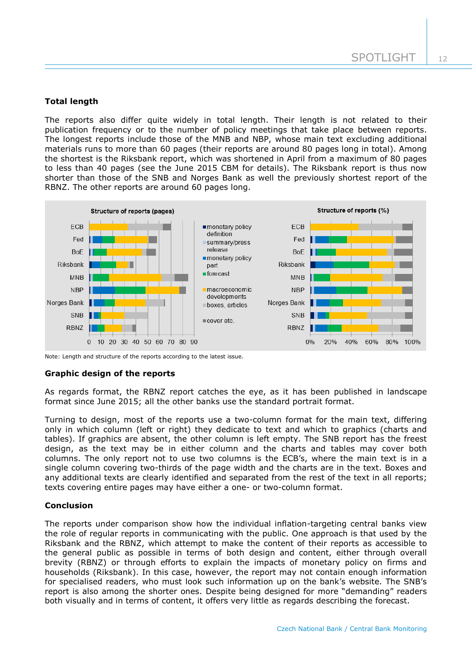# **Total length**

The reports also differ quite widely in total length. Their length is not related to their publication frequency or to the number of policy meetings that take place between reports. The longest reports include those of the MNB and NBP, whose main text excluding additional materials runs to more than 60 pages (their reports are around 80 pages long in total). Among the shortest is the Riksbank report, which was shortened in April from a maximum of 80 pages to less than 40 pages (see the June 2015 CBM for details). The Riksbank report is thus now shorter than those of the SNB and Norges Bank as well the previously shortest report of the RBNZ. The other reports are around 60 pages long.



Note: Length and structure of the reports according to the latest issue.

#### **Graphic design of the reports**

As regards format, the RBNZ report catches the eye, as it has been published in landscape format since June 2015; all the other banks use the standard portrait format.

Turning to design, most of the reports use a two-column format for the main text, differing only in which column (left or right) they dedicate to text and which to graphics (charts and tables). If graphics are absent, the other column is left empty. The SNB report has the freest design, as the text may be in either column and the charts and tables may cover both columns. The only report not to use two columns is the ECB's, where the main text is in a single column covering two-thirds of the page width and the charts are in the text. Boxes and any additional texts are clearly identified and separated from the rest of the text in all reports; texts covering entire pages may have either a one- or two-column format.

## **Conclusion**

The reports under comparison show how the individual inflation-targeting central banks view the role of regular reports in communicating with the public. One approach is that used by the Riksbank and the RBNZ, which attempt to make the content of their reports as accessible to the general public as possible in terms of both design and content, either through overall brevity (RBNZ) or through efforts to explain the impacts of monetary policy on firms and households (Riksbank). In this case, however, the report may not contain enough information for specialised readers, who must look such information up on the bank's website. The SNB's report is also among the shorter ones. Despite being designed for more "demanding" readers both visually and in terms of content, it offers very little as regards describing the forecast.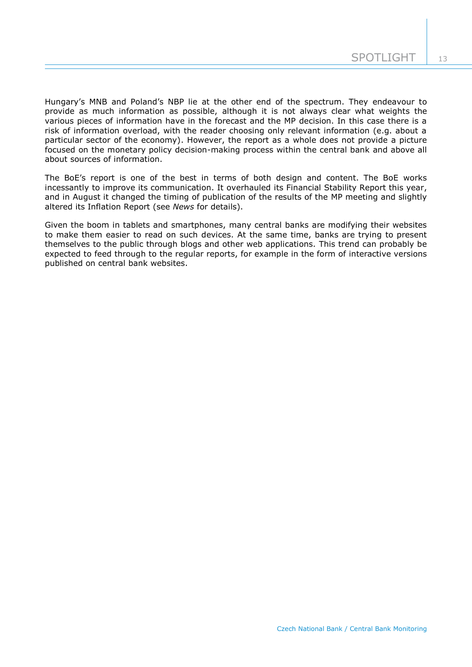Hungary's MNB and Poland's NBP lie at the other end of the spectrum. They endeavour to provide as much information as possible, although it is not always clear what weights the various pieces of information have in the forecast and the MP decision. In this case there is a risk of information overload, with the reader choosing only relevant information (e.g. about a particular sector of the economy). However, the report as a whole does not provide a picture focused on the monetary policy decision-making process within the central bank and above all about sources of information.

The BoE's report is one of the best in terms of both design and content. The BoE works incessantly to improve its communication. It overhauled its Financial Stability Report this year, and in August it changed the timing of publication of the results of the MP meeting and slightly altered its Inflation Report (see *News* for details).

Given the boom in tablets and smartphones, many central banks are modifying their websites to make them easier to read on such devices. At the same time, banks are trying to present themselves to the public through blogs and other web applications. This trend can probably be expected to feed through to the regular reports, for example in the form of interactive versions published on central bank websites.